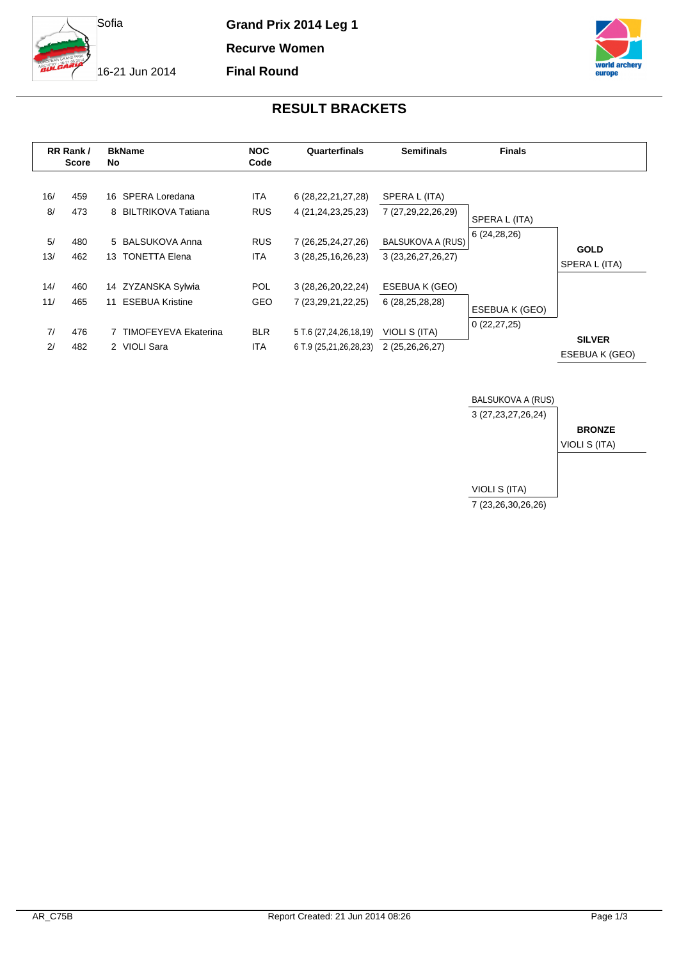

**Grand Prix 2014 Leg 1**

**Recurve Women**

**Final Round**

16-21 Jun 2014



# **RESULT BRACKETS**

| RR Rank /<br><b>Score</b> |            | <b>BkName</b><br>No |                                              | <b>NOC</b><br>Code       | Quarterfinals                                    | <b>Semifinals</b>                                  | <b>Finals</b>  |                                 |
|---------------------------|------------|---------------------|----------------------------------------------|--------------------------|--------------------------------------------------|----------------------------------------------------|----------------|---------------------------------|
| 16/<br>8/                 | 459<br>473 | 16                  | SPERA Loredana<br>8 BILTRIKOVA Tatiana       | <b>ITA</b><br><b>RUS</b> | 6 (28, 22, 21, 27, 28)<br>4 (21, 24, 23, 25, 23) | SPERA L (ITA)<br>7 (27,29,22,26,29)                | SPERA L (ITA)  |                                 |
| 5/<br>13/                 | 480<br>462 | 13                  | 5 BALSUKOVA Anna<br><b>TONETTA Elena</b>     | <b>RUS</b><br><b>ITA</b> | 7 (26, 25, 24, 27, 26)<br>3(28,25,16,26,23)      | <b>BALSUKOVA A (RUS)</b><br>3 (23, 26, 27, 26, 27) | 6(24, 28, 26)  | <b>GOLD</b><br>SPERA L (ITA)    |
| 14/<br>11/                | 460<br>465 | 11                  | 14 ZYZANSKA Sylwia<br><b>ESEBUA Kristine</b> | <b>POL</b><br><b>GEO</b> | 3 (28, 26, 20, 22, 24)<br>7 (23,29,21,22,25)     | ESEBUA K (GEO)<br>6 (28,25,28,28)                  | ESEBUA K (GEO) |                                 |
| 7/<br>2/                  | 476<br>482 |                     | 7 TIMOFEYEVA Ekaterina<br>2 VIOLI Sara       | <b>BLR</b><br><b>ITA</b> | 5 T.6 (27,24,26,18,19)<br>6 T.9 (25,21,26,28,23) | VIOLI S (ITA)<br>2 (25,26,26,27)                   | 0(22, 27, 25)  | <b>SILVER</b><br>ESEBUA K (GEO) |

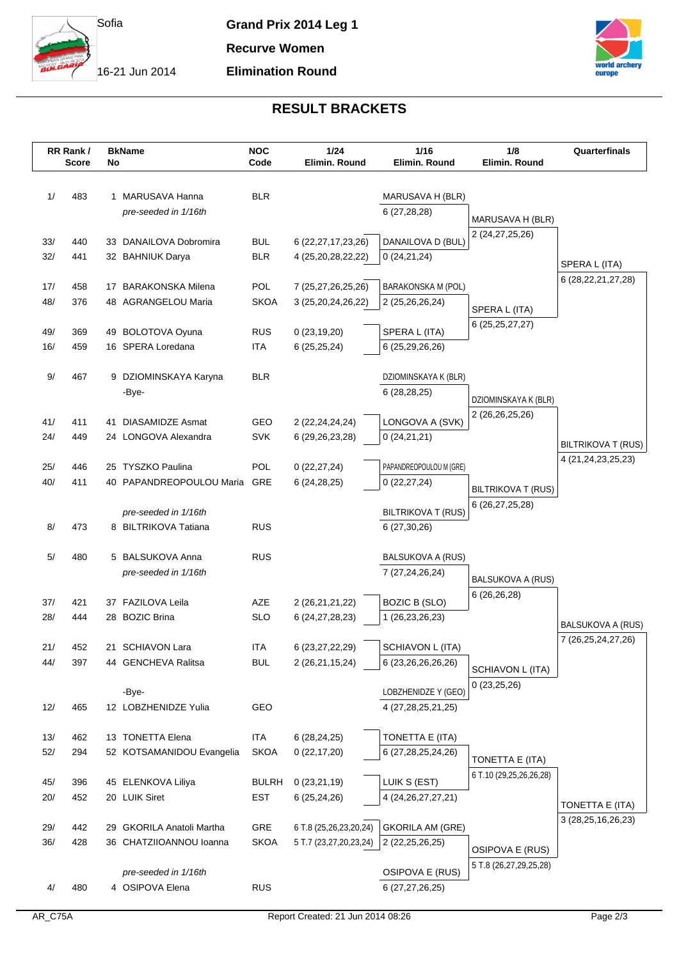

**Grand Prix 2014 Leg 1 Recurve Women**

# **Elimination Round**



### **RESULT BRACKETS**

|            | RR Rank/<br><b>Score</b> | No | <b>BkName</b>             | <b>NOC</b><br>Code | 1/24<br>Elimin. Round  | 1/16<br>Elimin. Round            | 1/8<br>Elimin. Round      | Quarterfinals             |
|------------|--------------------------|----|---------------------------|--------------------|------------------------|----------------------------------|---------------------------|---------------------------|
|            |                          |    |                           |                    |                        |                                  |                           |                           |
| 1/         | 483                      |    | 1 MARUSAVA Hanna          | <b>BLR</b>         |                        | MARUSAVA H (BLR)                 |                           |                           |
|            |                          |    | pre-seeded in 1/16th      |                    |                        | 6(27, 28, 28)                    | MARUSAVA H (BLR)          |                           |
|            |                          |    |                           | <b>BUL</b>         |                        |                                  | 2 (24, 27, 25, 26)        |                           |
| 33/<br>32/ | 440<br>441               |    | 33 DANAILOVA Dobromira    | <b>BLR</b>         | 6 (22, 27, 17, 23, 26) | DANAILOVA D (BUL)<br>0(24,21,24) |                           |                           |
|            |                          |    | 32 BAHNIUK Darya          |                    | 4 (25,20,28,22,22)     |                                  |                           | SPERA L (ITA)             |
| 17/        | 458                      |    | 17 BARAKONSKA Milena      | <b>POL</b>         | 7 (25,27,26,25,26)     | BARAKONSKA M (POL)               |                           | 6 (28, 22, 21, 27, 28)    |
| 48/        | 376                      |    | 48 AGRANGELOU Maria       | <b>SKOA</b>        | 3 (25, 20, 24, 26, 22) | 2 (25,26,26,24)                  |                           |                           |
|            |                          |    |                           |                    |                        |                                  | SPERA L (ITA)             |                           |
| 49/        | 369                      |    | 49 BOLOTOVA Oyuna         | <b>RUS</b>         | 0(23, 19, 20)          | SPERA L (ITA)                    | 6 (25, 25, 27, 27)        |                           |
| 16/        | 459                      |    | 16 SPERA Loredana         | <b>ITA</b>         | 6 (25,25,24)           | 6 (25,29,26,26)                  |                           |                           |
|            |                          |    |                           |                    |                        |                                  |                           |                           |
| 9/         | 467                      |    | 9 DZIOMINSKAYA Karyna     | <b>BLR</b>         |                        | DZIOMINSKAYA K (BLR)             |                           |                           |
|            |                          |    | -Bye-                     |                    |                        | 6(28, 28, 25)                    | DZIOMINSKAYA K (BLR)      |                           |
|            |                          |    |                           |                    |                        |                                  | 2 (26,26,25,26)           |                           |
| 41/        | 411                      | 41 | <b>DIASAMIDZE Asmat</b>   | GEO                | 2 (22,24,24,24)        | LONGOVA A (SVK)                  |                           |                           |
| 24/        | 449                      |    | 24 LONGOVA Alexandra      | <b>SVK</b>         | 6 (29, 26, 23, 28)     | 0(24,21,21)                      |                           | <b>BILTRIKOVA T (RUS)</b> |
| 25/        | 446                      |    | 25 TYSZKO Paulina         | POL                | 0(22, 27, 24)          | PAPANDREOPOULOU M (GRE)          |                           | 4 (21, 24, 23, 25, 23)    |
| 40/        | 411                      |    | 40 PAPANDREOPOULOU Maria  | GRE                | 6(24, 28, 25)          | 0(22, 27, 24)                    |                           |                           |
|            |                          |    |                           |                    |                        |                                  | <b>BILTRIKOVA T (RUS)</b> |                           |
|            |                          |    | pre-seeded in 1/16th      |                    |                        | <b>BILTRIKOVA T (RUS)</b>        | 6 (26, 27, 25, 28)        |                           |
| 8/         | 473                      |    | 8 BILTRIKOVA Tatiana      | <b>RUS</b>         |                        | 6 (27,30,26)                     |                           |                           |
|            |                          |    |                           |                    |                        |                                  |                           |                           |
| 5/         | 480                      |    | 5 BALSUKOVA Anna          | <b>RUS</b>         |                        | BALSUKOVA A (RUS)                |                           |                           |
|            |                          |    | pre-seeded in 1/16th      |                    |                        | 7 (27,24,26,24)                  | BALSUKOVA A (RUS)         |                           |
|            |                          |    |                           |                    |                        |                                  | 6(26, 26, 28)             |                           |
| 37/        | 421                      |    | 37 FAZILOVA Leila         | AZE                | 2 (26,21,21,22)        | <b>BOZIC B (SLO)</b>             |                           |                           |
| 28/        | 444                      |    | 28 BOZIC Brina            | <b>SLO</b>         | 6 (24, 27, 28, 23)     | 1 (26,23,26,23)                  |                           | BALSUKOVA A (RUS)         |
| 21/        | 452                      |    | 21 SCHIAVON Lara          | ITA                | 6 (23, 27, 22, 29)     | SCHIAVON L (ITA)                 |                           | 7 (26, 25, 24, 27, 26)    |
| 44/        | 397                      |    | 44 GENCHEVA Ralitsa       | <b>BUL</b>         | 2 (26,21,15,24)        | 6 (23, 26, 26, 26, 26)           |                           |                           |
|            |                          |    |                           |                    |                        |                                  | SCHIAVON L (ITA)          |                           |
|            |                          |    | -Bye-                     |                    |                        | LOBZHENIDZE Y (GEO)              | 0(23,25,26)               |                           |
| 12/        | 465                      |    | 12 LOBZHENIDZE Yulia      | GEO                |                        | 4 (27, 28, 25, 21, 25)           |                           |                           |
|            |                          |    |                           |                    |                        |                                  |                           |                           |
| 13/        | 462                      |    | 13 TONETTA Elena          | <b>ITA</b>         | 6(28, 24, 25)          | TONETTA E (ITA)                  |                           |                           |
| 52/        | 294                      |    | 52 KOTSAMANIDOU Evangelia | <b>SKOA</b>        | 0(22, 17, 20)          | 6 (27,28,25,24,26)               | TONETTA E (ITA)           |                           |
|            |                          |    |                           |                    |                        |                                  | 6 T.10 (29,25,26,26,28)   |                           |
| 45/        | 396                      |    | 45 ELENKOVA Liliya        | <b>BULRH</b>       | 0(23,21,19)            | LUIK S (EST)                     |                           |                           |
| 20/        | 452                      |    | 20 LUIK Siret             | EST                | 6(25, 24, 26)          | 4 (24, 26, 27, 27, 21)           |                           | TONETTA E (ITA)           |
| 29/        | 442                      |    | 29 GKORILA Anatoli Martha | GRE                | 6 T.8 (25,26,23,20,24) | <b>GKORILA AM (GRE)</b>          |                           | 3 (28, 25, 16, 26, 23)    |
| 36/        | 428                      |    | 36 CHATZIIOANNOU Ioanna   | <b>SKOA</b>        | 5 T.7 (23,27,20,23,24) | 2 (22, 25, 26, 25)               |                           |                           |
|            |                          |    |                           |                    |                        |                                  | OSIPOVA E (RUS)           |                           |
|            |                          |    | pre-seeded in 1/16th      |                    |                        | OSIPOVA E (RUS)                  | 5 T.8 (26,27,29,25,28)    |                           |
| 4/         | 480                      |    | 4 OSIPOVA Elena           | <b>RUS</b>         |                        | 6 (27,27,26,25)                  |                           |                           |
|            |                          |    |                           |                    |                        |                                  |                           |                           |